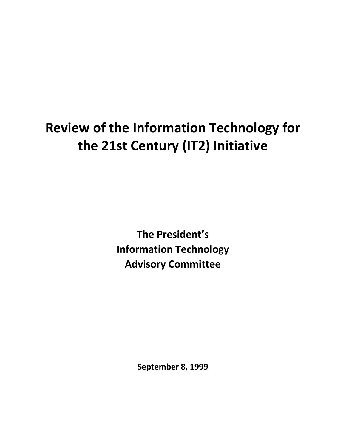# **Review of the Information Technology for the 21st Century (IT2) Initiative**

**The President's Information Technology Advisory Committee**

**September 8, 1999**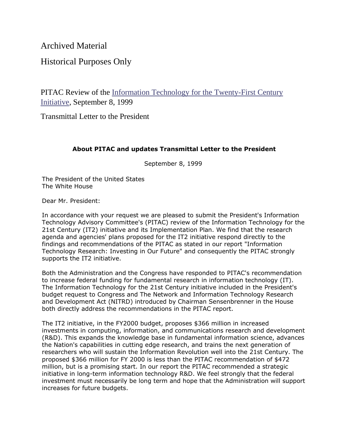Archived Material

Historical Purposes Only

PITAC Review of the [Information Technology for the Twenty-First Century](https://www.nitrd.gov/Pitac/pitac_it2_review.pdf)  [Initiative,](https://www.nitrd.gov/Pitac/pitac_it2_review.pdf) September 8, 1999

Transmittal Letter to the President

### **About PITAC and updates Transmittal Letter to the President**

September 8, 1999

The President of the United States The White House

Dear Mr. President:

In accordance with your request we are pleased to submit the President's Information Technology Advisory Committee's (PITAC) review of the Information Technology for the 21st Century (IT2) initiative and its Implementation Plan. We find that the research agenda and agencies' plans proposed for the IT2 initiative respond directly to the findings and recommendations of the PITAC as stated in our report "Information Technology Research: Investing in Our Future" and consequently the PITAC strongly supports the IT2 initiative.

Both the Administration and the Congress have responded to PITAC's recommendation to increase federal funding for fundamental research in information technology (IT). The Information Technology for the 21st Century initiative included in the President's budget request to Congress and The Network and Information Technology Research and Development Act (NITRD) introduced by Chairman Sensenbrenner in the House both directly address the recommendations in the PITAC report.

The IT2 initiative, in the FY2000 budget, proposes \$366 million in increased investments in computing, information, and communications research and development (R&D). This expands the knowledge base in fundamental information science, advances the Nation's capabilities in cutting edge research, and trains the next generation of researchers who will sustain the Information Revolution well into the 21st Century. The proposed \$366 million for FY 2000 is less than the PITAC recommendation of \$472 million, but is a promising start. In our report the PITAC recommended a strategic initiative in long-term information technology R&D. We feel strongly that the federal investment must necessarily be long term and hope that the Administration will support increases for future budgets.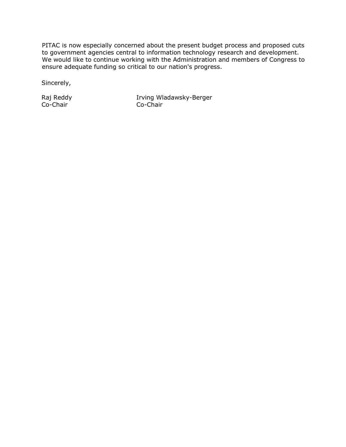PITAC is now especially concerned about the present budget process and proposed cuts to government agencies central to information technology research and development. We would like to continue working with the Administration and members of Congress to ensure adequate funding so critical to our nation's progress.

Sincerely,

Raj Reddy Co-Chair

Irving Wladawsky-Berger Co-Chair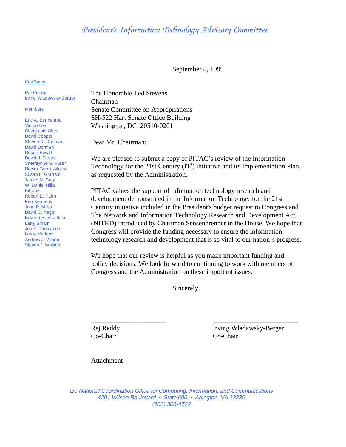## *President's Information Technology Advisory Committee*

September 8, 1999

Co-Chairs:

Raj Reddy Irving Wladawsky-Berger

#### Members:

Eric A. Benhamou Vinton Cerf Ching-chih Chen David Cooper Steven D. Dorfman David Dorman Robert Ewald David J. Farber Sherrilynne S. Fuller Hector Garcia-Molina Susan L. Graham James N. Gray W. Daniel Hillis Bill Joy Robert E. Kahn Ken Kennedy John P. Miller David C. Nagel Edward H. Shortliffe Larry Smarr Joe F. Thompson Leslie Vadasz Andrew J. Viterbi Steven J. Wallach

The Honorable Ted Stevens Chairman Senate Committee on Appropriations SH-522 Hart Senate Office Building Washington, DC 20510-0201

Dear Mr. Chairman:

We are pleased to submit a copy of PITAC's review of the Information Technology for the 21st Century  $(IT^2)$  initiative and its Implementation Plan, as requested by the Administration.

PITAC values the support of information technology research and development demonstrated in the Information Technology for the 21st Century initiative included in the President's budget request to Congress and The Network and Information Technology Research and Development Act (NITRD) introduced by Chairman Sensenbrenner in the House. We hope that Congress will provide the funding necessary to ensure the information technology research and development that is so vital to our nation's progress.

We hope that our review is helpful as you make important funding and policy decisions. We look forward to continuing to work with members of Congress and the Administration on these important issues.

Sincerely,

\_\_\_\_\_\_\_\_\_\_\_\_\_\_\_\_\_\_\_\_\_\_ \_\_\_\_\_\_\_\_\_\_\_\_\_\_\_\_\_\_\_\_\_\_\_\_\_ Co-Chair Co-Chair

Raj Reddy Irving Wladawsky-Berger

Attachment

c/o National Coordination Office for Computing, Information, and Communications 4201 Wilson Boulevard • Suite 690 • Arlington, VA 22230 (703) 306-4722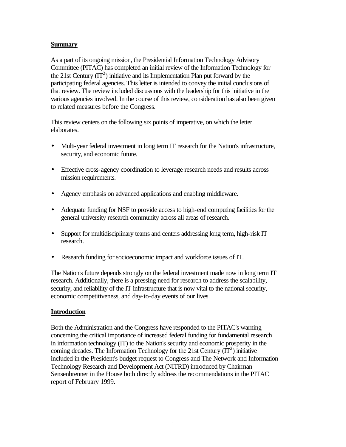#### **Summary**

As a part of its ongoing mission, the Presidential Information Technology Advisory Committee (PITAC) has completed an initial review of the Information Technology for the 21st Century  $(\text{IT}^2)$  initiative and its Implementation Plan put forward by the participating federal agencies. This letter is intended to convey the initial conclusions of that review. The review included discussions with the leadership for this initiative in the various agencies involved. In the course of this review, consideration has also been given to related measures before the Congress.

This review centers on the following six points of imperative, on which the letter elaborates.

- Multi-year federal investment in long term IT research for the Nation's infrastructure, security, and economic future.
- Effective cross-agency coordination to leverage research needs and results across mission requirements.
- Agency emphasis on advanced applications and enabling middleware.
- Adequate funding for NSF to provide access to high-end computing facilities for the general university research community across all areas of research.
- Support for multidisciplinary teams and centers addressing long term, high-risk IT research.
- Research funding for socioeconomic impact and workforce issues of IT.

The Nation's future depends strongly on the federal investment made now in long term IT research. Additionally, there is a pressing need for research to address the scalability, security, and reliability of the IT infrastructure that is now vital to the national security, economic competitiveness, and day-to-day events of our lives.

### **Introduction**

Both the Administration and the Congress have responded to the PITAC's warning concerning the critical importance of increased federal funding for fundamental research in information technology (IT) to the Nation's security and economic prosperity in the coming decades. The Information Technology for the 21st Century  $(\overline{\Gamma}^2)$  initiative included in the President's budget request to Congress and The Network and Information Technology Research and Development Act (NITRD) introduced by Chairman Sensenbrenner in the House both directly address the recommendations in the PITAC report of February 1999.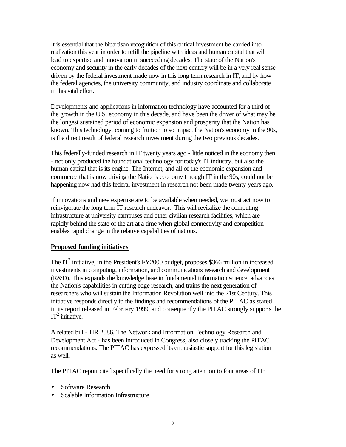It is essential that the bipartisan recognition of this critical investment be carried into realization this year in order to refill the pipeline with ideas and human capital that will lead to expertise and innovation in succeeding decades. The state of the Nation's economy and security in the early decades of the next century will be in a very real sense driven by the federal investment made now in this long term research in IT, and by how the federal agencies, the university community, and industry coordinate and collaborate in this vital effort.

Developments and applications in information technology have accounted for a third of the growth in the U.S. economy in this decade, and have been the driver of what may be the longest sustained period of economic expansion and prosperity that the Nation has known. This technology, coming to fruition to so impact the Nation's economy in the 90s, is the direct result of federal research investment during the two previous decades.

This federally-funded research in IT twenty years ago - little noticed in the economy then - not only produced the foundational technology for today's IT industry, but also the human capital that is its engine. The Internet, and all of the economic expansion and commerce that is now driving the Nation's economy through IT in the 90s, could not be happening now had this federal investment in research not been made twenty years ago.

If innovations and new expertise are to be available when needed, we must act now to reinvigorate the long term IT research endeavor. This will revitalize the computing infrastructure at university campuses and other civilian research facilities, which are rapidly behind the state of the art at a time when global connectivity and competition enables rapid change in the relative capabilities of nations.

#### **Proposed funding initiatives**

The  $IT<sup>2</sup>$  initiative, in the President's FY2000 budget, proposes \$366 million in increased investments in computing, information, and communications research and development (R&D). This expands the knowledge base in fundamental information science, advances the Nation's capabilities in cutting edge research, and trains the next generation of researchers who will sustain the Information Revolution well into the 21st Century. This initiative responds directly to the findings and recommendations of the PITAC as stated in its report released in February 1999, and consequently the PITAC strongly supports the  $IT^2$  initiative.

A related bill - HR 2086, The Network and Information Technology Research and Development Act - has been introduced in Congress, also closely tracking the PITAC recommendations. The PITAC has expressed its enthusiastic support for this legislation as well.

The PITAC report cited specifically the need for strong attention to four areas of IT:

- Software Research
- Scalable Information Infrastructure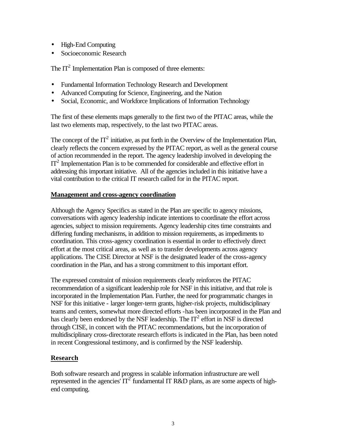- High-End Computing
- Socioeconomic Research

The  $IT<sup>2</sup>$  Implementation Plan is composed of three elements:

- Fundamental Information Technology Research and Development
- Advanced Computing for Science, Engineering, and the Nation
- Social, Economic, and Workforce Implications of Information Technology

The first of these elements maps generally to the first two of the PITAC areas, while the last two elements map, respectively, to the last two PITAC areas.

The concept of the  $IT^2$  initiative, as put forth in the Overview of the Implementation Plan, clearly reflects the concern expressed by the PITAC report, as well as the general course of action recommended in the report. The agency leadership involved in developing the IT<sup>2</sup> Implementation Plan is to be commended for considerable and effective effort in addressing this important initiative. All of the agencies included in this initiative have a vital contribution to the critical IT research called for in the PITAC report.

#### **Management and cross-agency coordination**

Although the Agency Specifics as stated in the Plan are specific to agency missions, conversations with agency leadership indicate intentions to coordinate the effort across agencies, subject to mission requirements. Agency leadership cites time constraints and differing funding mechanisms, in addition to mission requirements, as impediments to coordination. This cross-agency coordination is essential in order to effectively direct effort at the most critical areas, as well as to transfer developments across agency applications. The CISE Director at NSF is the designated leader of the cross-agency coordination in the Plan, and has a strong commitment to this important effort.

The expressed constraint of mission requirements clearly reinforces the PITAC recommendation of a significant leadership role for NSF in this initiative, and that role is incorporated in the Implementation Plan. Further, the need for programmatic changes in NSF for this initiative - larger longer-term grants, higher-risk projects, multidisciplinary teams and centers, somewhat more directed efforts -has been incorporated in the Plan and has clearly been endorsed by the NSF leadership. The  $IT<sup>2</sup>$  effort in NSF is directed through CISE, in concert with the PITAC recommendations, but the incorporation of multidisciplinary cross-directorate research efforts is indicated in the Plan, has been noted in recent Congressional testimony, and is confirmed by the NSF leadership.

### **Research**

Both software research and progress in scalable information infrastructure are well represented in the agencies'  $IT^2$  fundamental IT R&D plans, as are some aspects of highend computing.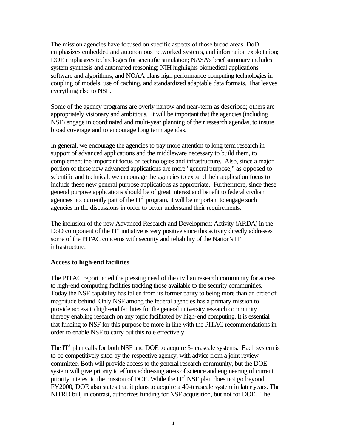The mission agencies have focused on specific aspects of those broad areas. DoD emphasizes embedded and autonomous networked systems, and information exploitation; DOE emphasizes technologies for scientific simulation; NASA's brief summary includes system synthesis and automated reasoning; NIH highlights biomedical applications software and algorithms; and NOAA plans high performance computing technologies in coupling of models, use of caching, and standardized adaptable data formats. That leaves everything else to NSF.

Some of the agency programs are overly narrow and near-term as described; others are appropriately visionary and ambitious. It will be important that the agencies (including NSF) engage in coordinated and multi-year planning of their research agendas, to insure broad coverage and to encourage long term agendas.

In general, we encourage the agencies to pay more attention to long term research in support of advanced applications and the middleware necessary to build them, to complement the important focus on technologies and infrastructure. Also, since a major portion of these new advanced applications are more "general purpose," as opposed to scientific and technical, we encourage the agencies to expand their application focus to include these new general purpose applications as appropriate. Furthermore, since these general purpose applications should be of great interest and benefit to federal civilian agencies not currently part of the  $IT<sup>2</sup>$  program, it will be important to engage such agencies in the discussions in order to better understand their requirements.

The inclusion of the new Advanced Research and Development Activity (ARDA) in the DoD component of the  $IT^2$  initiative is very positive since this activity directly addresses some of the PITAC concerns with security and reliability of the Nation's IT infrastructure.

### **Access to high-end facilities**

The PITAC report noted the pressing need of the civilian research community for access to high-end computing facilities tracking those available to the security communities. Today the NSF capability has fallen from its former parity to being more than an order of magnitude behind. Only NSF among the federal agencies has a primary mission to provide access to high-end facilities for the general university research community thereby enabling research on any topic facilitated by high-end computing. It is essential that funding to NSF for this purpose be more in line with the PITAC recommendations in order to enable NSF to carry out this role effectively.

The  $IT<sup>2</sup>$  plan calls for both NSF and DOE to acquire 5-terascale systems. Each system is to be competitively sited by the respective agency, with advice from a joint review committee. Both will provide access to the general research community, but the DOE system will give priority to efforts addressing areas of science and engineering of current priority interest to the mission of DOE. While the  $IT<sup>2</sup> NSF$  plan does not go beyond FY2000, DOE also states that it plans to acquire a 40-terascale system in later years. The NITRD bill, in contrast, authorizes funding for NSF acquisition, but not for DOE. The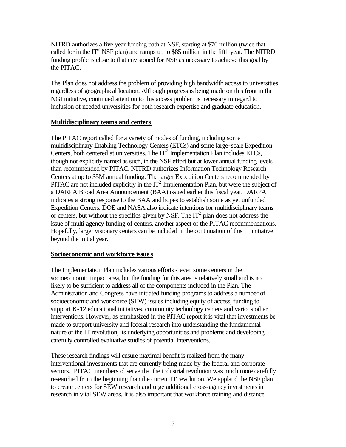NITRD authorizes a five year funding path at NSF, starting at \$70 million (twice that called for in the  $IT^2$  NSF plan) and ramps up to \$85 million in the fifth year. The NITRD funding profile is close to that envisioned for NSF as necessary to achieve this goal by the PITAC.

The Plan does not address the problem of providing high bandwidth access to universities regardless of geographical location. Although progress is being made on this front in the NGI initiative, continued attention to this access problem is necessary in regard to inclusion of needed universities for both research expertise and graduate education.

#### **Multidisciplinary teams and centers**

The PITAC report called for a variety of modes of funding, including some multidisciplinary Enabling Technology Centers (ETCs) and some large-scale Expedition Centers, both centered at universities. The  $IT<sup>2</sup>$  Implementation Plan includes ETCs, though not explicitly named as such, in the NSF effort but at lower annual funding levels than recommended by PITAC. NITRD authorizes Information Technology Research Centers at up to \$5M annual funding. The larger Expedition Centers recommended by PITAC are not included explicitly in the  $IT<sup>2</sup>$  Implementation Plan, but were the subject of a DARPA Broad Area Announcement (BAA) issued earlier this fiscal year. DARPA indicates a strong response to the BAA and hopes to establish some as yet unfunded Expedition Centers. DOE and NASA also indicate intentions for multidisciplinary teams or centers, but without the specifics given by NSF. The  $IT<sup>2</sup>$  plan does not address the issue of multi-agency funding of centers, another aspect of the PITAC recommendations. Hopefully, larger visionary centers can be included in the continuation of this IT initiative beyond the initial year.

### **Socioeconomic and workforce issues**

The Implementation Plan includes various efforts - even some centers in the socioeconomic impact area, but the funding for this area is relatively small and is not likely to be sufficient to address all of the components included in the Plan. The Administration and Congress have initiated funding programs to address a number of socioeconomic and workforce (SEW) issues including equity of access, funding to support K-12 educational initiatives, community technology centers and various other interventions. However, as emphasized in the PITAC report it is vital that investments be made to support university and federal research into understanding the fundamental nature of the IT revolution, its underlying opportunities and problems and developing carefully controlled evaluative studies of potential interventions.

These research findings will ensure maximal benefit is realized from the many interventional investments that are currently being made by the federal and corporate sectors. PITAC members observe that the industrial revolution was much more carefully researched from the beginning than the current IT revolution. We applaud the NSF plan to create centers for SEW research and urge additional cross-agency investments in research in vital SEW areas. It is also important that workforce training and distance